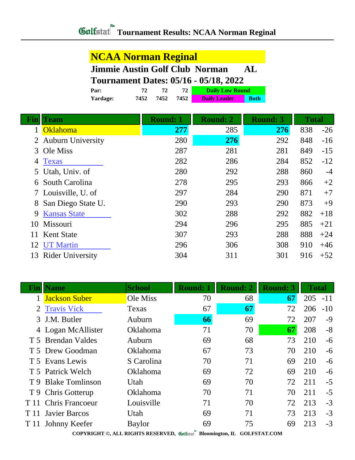### **NCAA Norman Reginal**

### **Jimmie Austin Golf Club Norman AL**

#### **Tournament Dates: 05/16 - 05/18, 2022**

| Par:     |      |      |       | <b>Daily Low Round</b> |             |
|----------|------|------|-------|------------------------|-------------|
| Yardage: | 7452 | 7452 | 7452. | <b>Daily Leader</b>    | <b>Both</b> |

| Fin | <b>Team</b>             | <b>Round: 1</b> | <b>Round: 2</b><br><b>Round: 3</b> |     | <b>Total</b> |       |
|-----|-------------------------|-----------------|------------------------------------|-----|--------------|-------|
|     | Oklahoma                | 277             | 285                                | 276 | 838          | $-26$ |
|     | 2 Auburn University     | 280             | 276                                | 292 | 848          | $-16$ |
| 3   | Ole Miss                | 287             | 281                                | 281 | 849          | $-15$ |
| 4   | <b>Texas</b>            | 282             | 286                                | 284 | 852          | $-12$ |
|     | 5 Utah, Univ. of        | 280             | 292                                | 288 | 860          | $-4$  |
|     | South Carolina          | 278             | 295                                | 293 | 866          | $+2$  |
|     | 7 Louisville, U. of     | 297             | 284                                | 290 | 871          | $+7$  |
| 8   | San Diego State U.      | 290             | 293                                | 290 | 873          | $+9$  |
| 9   | <b>Kansas State</b>     | 302             | 288                                | 292 | 882          | $+18$ |
| 10  | Missouri                | 294             | 296                                | 295 | 885          | $+21$ |
| 11  | <b>Kent State</b>       | 307             | 293                                | 288 | 888          | $+24$ |
| 12  | <b>UT Martin</b>        | 296             | 306                                | 308 | 910          | $+46$ |
| 13  | <b>Rider University</b> | 304             | 311                                | 301 | 916          | $+52$ |

| Fin  | <b>Name</b>            | <b>School</b>   | <b>Round: 1</b> | <b>Round: 2</b> | <b>Round: 3</b> | <b>Total</b> |       |  |  |  |
|------|------------------------|-----------------|-----------------|-----------------|-----------------|--------------|-------|--|--|--|
|      | <b>Jackson Suber</b>   | Ole Miss        | 70              | 68              | 67              | 205          | $-11$ |  |  |  |
|      | 2 Travis Vick          | Texas           | 67              | 67              | 72              | 206          | $-10$ |  |  |  |
|      | 3 J.M. Butler          | Auburn          | 66              | 69              | 72              | 207          | $-9$  |  |  |  |
|      | 4 Logan McAllister     | Oklahoma        | 71              | 70              | 67              | 208          | $-8$  |  |  |  |
|      | T 5 Brendan Valdes     | Auburn          | 69              | 68              | 73              | 210          | $-6$  |  |  |  |
|      | T 5 Drew Goodman       | Oklahoma        | 67              | 73              | 70              | 210          | -6    |  |  |  |
|      | T 5 Evans Lewis        | S Carolina      | 70              | 71              | 69              | 210          | $-6$  |  |  |  |
|      | T 5 Patrick Welch      | <b>Oklahoma</b> | 69              | 72              | 69              | 210          | $-6$  |  |  |  |
|      | T 9 Blake Tomlinson    | Utah            | 69              | 70              | 72              | 211          | $-5$  |  |  |  |
|      | T 9 Chris Gotterup     | <b>Oklahoma</b> | 70              | 71              | 70              | 211          | $-5$  |  |  |  |
| T 11 | <b>Chris Francoeur</b> | Louisville      | 71              | 70              | 72              | 213          | $-3$  |  |  |  |
| T 11 | <b>Javier Barcos</b>   | Utah            | 69              | 71              | 73              | 213          | $-3$  |  |  |  |
| T 11 | Johnny Keefer          | <b>Baylor</b>   | 69              | 75              | 69              | 213          | $-3$  |  |  |  |
|      |                        |                 |                 |                 |                 |              |       |  |  |  |

**COPYRIGHT ©, ALL RIGHTS RESERVED, Bloomington, IL GOLFSTAT.COM**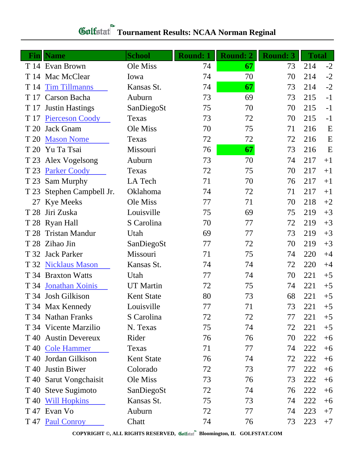# **Gulfatat** Tournament Results: NCAA Norman Reginal

|                 | <b>Fin</b> Name         | <b>School</b>     | <b>Round: 1</b> | <b>Round: 2</b> | <b>Round: 3</b> | <b>Total</b> |             |
|-----------------|-------------------------|-------------------|-----------------|-----------------|-----------------|--------------|-------------|
|                 | T 14 Evan Brown         | Ole Miss          | 74              | 67              | 73              | 214          | $-2$        |
| T 14            | Mac McClear             | Iowa              | 74              | 70              | 70              | 214          | $-2$        |
| T 14            | <b>Tim Tillmanns</b>    | Kansas St.        | 74              | 67              | 73              | 214          | $-2$        |
| T 17            | Carson Bacha            | Auburn            | 73              | 69              | 73              | 215          | $-1$        |
| T 17            | <b>Justin Hastings</b>  | SanDiegoSt        | 75              | 70              | 70              | 215          | $-1$        |
| T 17            | <b>Pierceson Coody</b>  | Texas             | 73              | 72              | 70              | 215          | $-1$        |
| T 20            | <b>Jack Gnam</b>        | Ole Miss          | 70              | 75              | 71              | 216          | $\mathbf E$ |
| T 20            | <b>Mason Nome</b>       | Texas             | 72              | 72              | 72              | 216          | E           |
| T 20            | Yu Ta Tsai              | Missouri          | 76              | 67              | 73              | 216          | E           |
| T 23            | Alex Vogelsong          | Auburn            | 73              | 70              | 74              | 217          | $+1$        |
| T 23            | <b>Parker Coody</b>     | Texas             | 72              | 75              | 70              | 217          | $+1$        |
| T 23            | Sam Murphy              | LA Tech           | 71              | 70              | 76              | 217          | $+1$        |
| T 23            | Stephen Campbell Jr.    | Oklahoma          | 74              | 72              | 71              | 217          | $+1$        |
| 27              | <b>Kye Meeks</b>        | Ole Miss          | 77              | 71              | 70              | 218          | $+2$        |
| T 28            | Jiri Zuska              | Louisville        | 75              | 69              | 75              | 219          | $+3$        |
| T 28            | <b>Ryan Hall</b>        | S Carolina        | 70              | 77              | 72              | 219          | $+3$        |
| T 28            | <b>Tristan Mandur</b>   | Utah              | 69              | 77              | 73              | 219          | $+3$        |
|                 | T 28 Zihao Jin          | SanDiegoSt        | 77              | 72              | 70              | 219          | $+3$        |
|                 | T 32 Jack Parker        | Missouri          | 71              | 75              | 74              | 220          | $+4$        |
| T 32            | <b>Nicklaus Mason</b>   | Kansas St.        | 74              | 74              | 72              | 220          | $+4$        |
|                 | T 34 Braxton Watts      | Utah              | 77              | 74              | 70              | 221          | $+5$        |
| T 34            | <b>Jonathan Xoinis</b>  | <b>UT</b> Martin  | 72              | 75              | 74              | 221          | $+5$        |
|                 | T 34 Josh Gilkison      | <b>Kent State</b> | 80              | 73              | 68              | 221          | $+5$        |
|                 | T 34 Max Kennedy        | Louisville        | 77              | 71              | 73              | 221          | $+5$        |
|                 | T 34 Nathan Franks      | S Carolina        | 72              | 72              | 77              | 221          | $+5$        |
|                 | T 34 Vicente Marzilio   | N. Texas          | 75              | 74              | 72              | 221          | $+5$        |
| T 40            | <b>Austin Devereux</b>  | Rider             | 76              | 76              | 70              | 222          | $+6$        |
|                 | T 40 Cole Hammer        | Texas             | 71              | 77              | 74              | 222          | $+6$        |
| T 40            | Jordan Gilkison         | <b>Kent State</b> | 76              | 74              | 72              | 222          | $+6$        |
| T 40            | <b>Justin Biwer</b>     | Colorado          | 72              | 73              | 77              | 222          | $+6$        |
| T 40            | Sarut Vongchaisit       | Ole Miss          | 73              | 76              | 73              | 222          | $+6$        |
|                 | T 40 Steve Sugimoto     | SanDiegoSt        | 72              | 74              | 76              | 222          | $+6$        |
| T <sub>40</sub> | <b>Will Hopkins</b>     | Kansas St.        | 75              | 73              | 74              | 222          | $+6$        |
|                 | T <sub>47</sub> Evan Vo | Auburn            | 72              | 77              | 74              | 223          | $+7$        |
|                 | T 47 Paul Conroy        | Chatt             | 74              | 76              | 73              | 223          | $+7$        |

**COPYRIGHT ©, ALL RIGHTS RESERVED, Bloomington, IL GOLFSTAT.COM**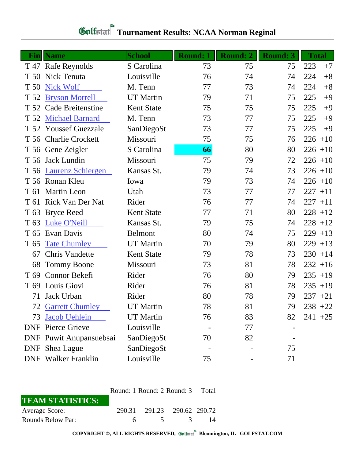| Fin             | <b>Name</b>                | <b>School</b>     | <b>Round: 1</b> | <b>Round: 2</b> | <b>Round: 3</b> | <b>Total</b> |
|-----------------|----------------------------|-------------------|-----------------|-----------------|-----------------|--------------|
|                 | T 47 Rafe Reynolds         | S Carolina        | 73              | 75              | 75              | 223<br>$+7$  |
| T 50            | Nick Tenuta                | Louisville        | 76              | 74              | 74              | 224<br>$+8$  |
| T 50            | <b>Nick Wolf</b>           | M. Tenn           | 77              | 73              | 74              | 224<br>$+8$  |
| T 52            | <b>Bryson Morrell</b>      | <b>UT</b> Martin  | 79              | 71              | 75              | 225<br>$+9$  |
|                 | T 52 Cade Breitenstine     | <b>Kent State</b> | 75              | 75              | 75              | 225<br>$+9$  |
| T 52            | <b>Michael Barnard</b>     | M. Tenn           | 73              | 77              | 75              | 225<br>$+9$  |
|                 | T 52 Youssef Guezzale      | SanDiegoSt        | 73              | 77              | 75              | 225<br>$+9$  |
|                 | T 56 Charlie Crockett      | Missouri          | 75              | 75              | 76              | $226 + 10$   |
|                 | T 56 Gene Zeigler          | S Carolina        | 66              | 80              | 80              | $226 + 10$   |
|                 | T 56 Jack Lundin           | Missouri          | 75              | 79              | 72              | $226 + 10$   |
|                 | T 56 Laurenz Schiergen     | Kansas St.        | 79              | 74              | 73              | $226 + 10$   |
|                 | T 56 Ronan Kleu            | Iowa              | 79              | 73              | 74              | $226 + 10$   |
|                 | T 61 Martin Leon           | Utah              | 73              | 77              | 77              | $227 + 11$   |
|                 | T 61 Rick Van Der Nat      | Rider             | 76              | 77              | 74              | $227 + 11$   |
|                 | T 63 Bryce Reed            | <b>Kent State</b> | 77              | 71              | 80              | $228 + 12$   |
| T <sub>63</sub> | <b>Luke O'Neill</b>        | Kansas St.        | 79              | 75              | 74              | $228 + 12$   |
| T 65            | Evan Davis                 | <b>Belmont</b>    | 80              | 74              | 75              | $229 + 13$   |
| T <sub>65</sub> | <b>Tate Chumley</b>        | <b>UT</b> Martin  | 70              | 79              | 80              | 229<br>$+13$ |
| 67              | <b>Chris Vandette</b>      | <b>Kent State</b> | 79              | 78              | 73              | $230 + 14$   |
| 68              | <b>Tommy Boone</b>         | Missouri          | 73              | 81              | 78              | $232 + 16$   |
| T <sub>69</sub> | Connor Bekefi              | Rider             | 76              | 80              | 79              | $235 + 19$   |
|                 | T 69 Louis Giovi           | Rider             | 76              | 81              | 78              | $235 + 19$   |
| 71              | Jack Urban                 | Rider             | 80              | 78              | 79              | $237 + 21$   |
|                 | <b>72 Garrett Chumley</b>  | <b>UT</b> Martin  | 78              | 81              | 79              | $238 + 22$   |
| 73              | <b>Jacob Uehlein</b>       | <b>UT</b> Martin  | 76              | 83              | 82              | $241 + 25$   |
|                 | <b>DNF</b> Pierce Grieve   | Louisville        |                 | 77              |                 |              |
|                 | DNF Puwit Anupansuebsai    | SanDiegoSt        | 70              | 82              |                 |              |
|                 | DNF Shea Lague             | SanDiegoSt        |                 |                 | 75              |              |
|                 | <b>DNF</b> Walker Franklin | Louisville        | 75              |                 | 71              |              |

# **Gulfatat** Tournament Results: NCAA Norman Reginal

|                         | Round: 1 Round: 2 Round: 3 |                             |             | - Total |
|-------------------------|----------------------------|-----------------------------|-------------|---------|
| <b>TEAM STATISTICS:</b> |                            |                             |             |         |
| <b>Average Score:</b>   |                            | 290.31 291.23 290.62 290.72 |             |         |
| Rounds Below Par:       | 6.                         |                             | $5 \quad 3$ | 14      |

**COPYRIGHT ©, ALL RIGHTS RESERVED, Bloomington, IL GOLFSTAT.COM**